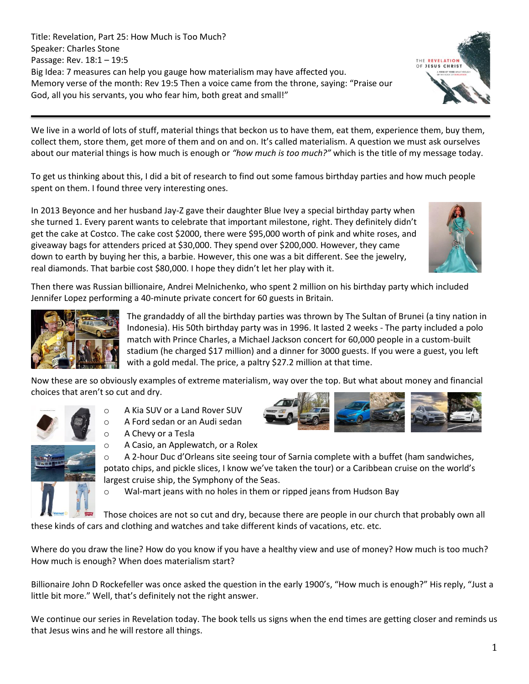Title: Revelation, Part 25: How Much is Too Much? Speaker: Charles Stone Passage: Rev. 18:1 – 19:5 Big Idea: 7 measures can help you gauge how materialism may have affected you. Memory verse of the month: Rev 19:5 Then a voice came from the throne, saying: "Praise our God, all you his servants, you who fear him, both great and small!"

We live in a world of lots of stuff, material things that beckon us to have them, eat them, experience them, buy them, collect them, store them, get more of them and on and on. It's called materialism. A question we must ask ourselves about our material things is how much is enough or *"how much is too much?"* which is the title of my message today.

To get us thinking about this, I did a bit of research to find out some famous birthday parties and how much people spent on them. I found three very interesting ones.

In 2013 Beyonce and her husband Jay-Z gave their daughter Blue Ivey a special birthday party when she turned 1. Every parent wants to celebrate that important milestone, right. They definitely didn't get the cake at Costco. The cake cost \$2000, there were \$95,000 worth of pink and white roses, and giveaway bags for attenders priced at \$30,000. They spend over \$200,000. However, they came down to earth by buying her this, a barbie. However, this one was a bit different. See the jewelry, real diamonds. That barbie cost \$80,000. I hope they didn't let her play with it.

Then there was Russian billionaire, Andrei Melnichenko, who spent 2 million on his birthday party which included Jennifer Lopez performing a 40-minute private concert for 60 guests in Britain.



The grandaddy of all the birthday parties was thrown by The Sultan of Brunei (a tiny nation in Indonesia). His 50th birthday party was in 1996. It lasted 2 weeks - The party included a polo match with Prince Charles, a Michael Jackson concert for 60,000 people in a custom-built stadium (he charged \$17 million) and a dinner for 3000 guests. If you were a guest, you left with a gold medal. The price, a paltry \$27.2 million at that time.

Now these are so obviously examples of extreme materialism, way over the top. But what about money and financial choices that aren't so cut and dry.



- o A Kia SUV or a Land Rover SUV
- o A Ford sedan or an Audi sedan
- o A Chevy or a Tesla



 $\circ$  A 2-hour Duc d'Orleans site seeing tour of Sarnia complete with a buffet (ham sandwiches, potato chips, and pickle slices, I know we've taken the tour) or a Caribbean cruise on the world's largest cruise ship, the Symphony of the Seas.

o Wal-mart jeans with no holes in them or ripped jeans from Hudson Bay

Those choices are not so cut and dry, because there are people in our church that probably own all these kinds of cars and clothing and watches and take different kinds of vacations, etc. etc.

Where do you draw the line? How do you know if you have a healthy view and use of money? How much is too much? How much is enough? When does materialism start?

Billionaire John D Rockefeller was once asked the question in the early 1900's, "How much is enough?" His reply, "Just a little bit more." Well, that's definitely not the right answer.

We continue our series in Revelation today. The book tells us signs when the end times are getting closer and reminds us that Jesus wins and he will restore all things.



THE REVELATION OF JESUS CHRIST



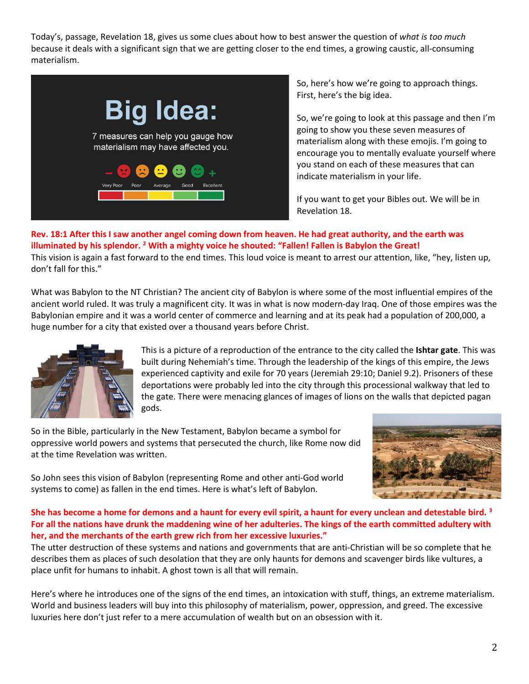Today's, passage, Revelation 18, gives us some clues about how to best answer the question of *what is too much* because it deals with a significant sign that we are getting closer to the end times, a growing caustic, all-consuming materialism.



So, here's how we're going to approach things. First, here's the big idea.

So, we're going to look at this passage and then I'm going to show you these seven measures of materialism along with these emojis. I'm going to encourage you to mentally evaluate yourself where you stand on each of these measures that can indicate materialism in your life.

If you want to get your Bibles out. We will be in Revelation 18.

**Rev. 18:1 After this I saw another angel coming down from heaven. He had great authority, and the earth was illuminated by his splendor. <sup>2</sup> With a mighty voice he shouted: "Fallen! Fallen is Babylon the Great!** This vision is again a fast forward to the end times. This loud voice is meant to arrest our attention, like, "hey, listen up, don't fall for this."

What was Babylon to the NT Christian? The ancient city of Babylon is where some of the most influential empires of the ancient world ruled. It was truly a magnificent city. It was in what is now modern-day Iraq. One of those empires was the Babylonian empire and it was a world center of commerce and learning and at its peak had a population of 200,000, a huge number for a city that existed over a thousand years before Christ.



This is a picture of a reproduction of the entrance to the city called the **Ishtar gate**. This was built during Nehemiah's time. Through the leadership of the kings of this empire, the Jews experienced captivity and exile for 70 years (Jeremiah 29:10; Daniel 9.2). Prisoners of these deportations were probably led into the city through this processional walkway that led to the gate. There were menacing glances of images of lions on the walls that depicted pagan gods.

So in the Bible, particularly in the New Testament, Babylon became a symbol for oppressive world powers and systems that persecuted the church, like Rome now did at the time Revelation was written.



So John sees this vision of Babylon (representing Rome and other anti-God world systems to come) as fallen in the end times. Here is what's left of Babylon.

# **She has become a home for demons and a haunt for every evil spirit, a haunt for every unclean and detestable bird. <sup>3</sup> For all the nations have drunk the maddening wine of her adulteries. The kings of the earth committed adultery with her, and the merchants of the earth grew rich from her excessive luxuries."**

The utter destruction of these systems and nations and governments that are anti-Christian will be so complete that he describes them as places of such desolation that they are only haunts for demons and scavenger birds like vultures, a place unfit for humans to inhabit. A ghost town is all that will remain.

Here's where he introduces one of the signs of the end times, an intoxication with stuff, things, an extreme materialism. World and business leaders will buy into this philosophy of materialism, power, oppression, and greed. The excessive luxuries here don't just refer to a mere accumulation of wealth but on an obsession with it.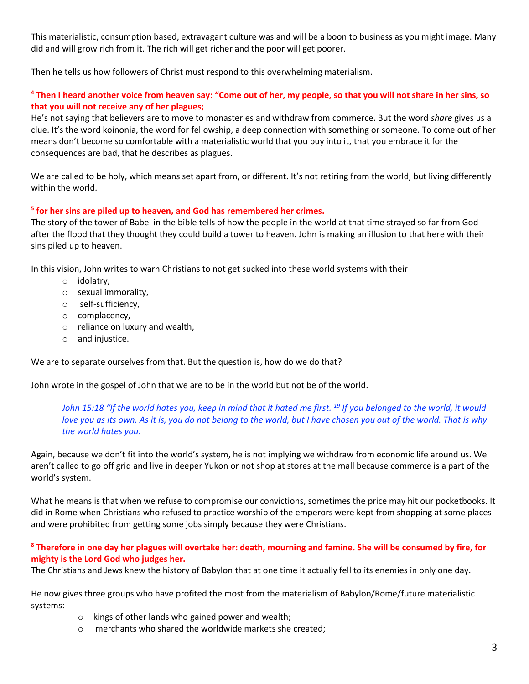This materialistic, consumption based, extravagant culture was and will be a boon to business as you might image. Many did and will grow rich from it. The rich will get richer and the poor will get poorer.

Then he tells us how followers of Christ must respond to this overwhelming materialism.

# **<sup>4</sup> Then I heard another voice from heaven say: "Come out of her, my people, so that you will not share in her sins, so that you will not receive any of her plagues;**

He's not saying that believers are to move to monasteries and withdraw from commerce. But the word *share* gives us a clue. It's the word koinonia, the word for fellowship, a deep connection with something or someone. To come out of her means don't become so comfortable with a materialistic world that you buy into it, that you embrace it for the consequences are bad, that he describes as plagues.

We are called to be holy, which means set apart from, or different. It's not retiring from the world, but living differently within the world.

# **5 for her sins are piled up to heaven, and God has remembered her crimes.**

The story of the tower of Babel in the bible tells of how the people in the world at that time strayed so far from God after the flood that they thought they could build a tower to heaven. John is making an illusion to that here with their sins piled up to heaven.

In this vision, John writes to warn Christians to not get sucked into these world systems with their

- o idolatry,
- o sexual immorality,
- o self-sufficiency,
- o complacency,
- o reliance on luxury and wealth,
- o and injustice.

We are to separate ourselves from that. But the question is, how do we do that?

John wrote in the gospel of John that we are to be in the world but not be of the world.

*John 15:18 "If the world hates you, keep in mind that it hated me first. <sup>19</sup> If you belonged to the world, it would love you as its own. As it is, you do not belong to the world, but I have chosen you out of the world. That is why the world hates you*.

Again, because we don't fit into the world's system, he is not implying we withdraw from economic life around us. We aren't called to go off grid and live in deeper Yukon or not shop at stores at the mall because commerce is a part of the world's system.

What he means is that when we refuse to compromise our convictions, sometimes the price may hit our pocketbooks. It did in Rome when Christians who refused to practice worship of the emperors were kept from shopping at some places and were prohibited from getting some jobs simply because they were Christians.

# **<sup>8</sup> Therefore in one day her plagues will overtake her: death, mourning and famine. She will be consumed by fire, for mighty is the Lord God who judges her.**

The Christians and Jews knew the history of Babylon that at one time it actually fell to its enemies in only one day.

He now gives three groups who have profited the most from the materialism of Babylon/Rome/future materialistic systems:

- o kings of other lands who gained power and wealth;
- o merchants who shared the worldwide markets she created;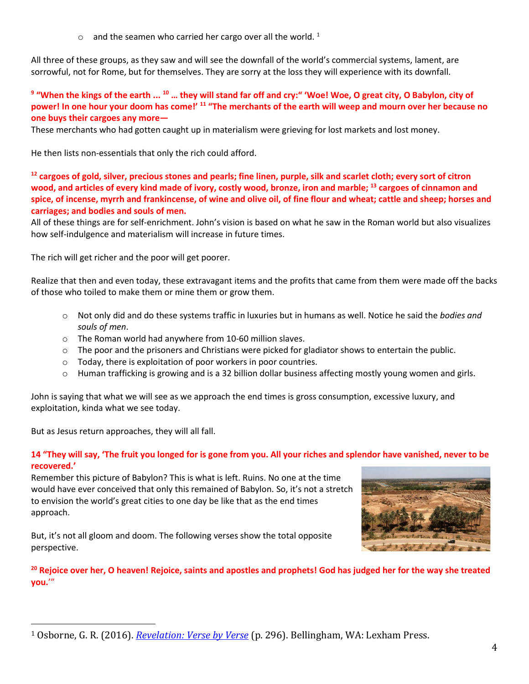$\circ$  and the seamen who carried her cargo over all the world.<sup>1</sup>

All three of these groups, as they saw and will see the downfall of the world's commercial systems, lament, are sorrowful, not for Rome, but for themselves. They are sorry at the loss they will experience with its downfall.

# **9 "When the kings of the earth ... <sup>10</sup> … they will stand far off and cry:" 'Woe! Woe, O great city, O Babylon, city of power! In one hour your doom has come!' <sup>11</sup> "The merchants of the earth will weep and mourn over her because no one buys their cargoes any more—**

These merchants who had gotten caught up in materialism were grieving for lost markets and lost money.

He then lists non-essentials that only the rich could afford.

**<sup>12</sup> cargoes of gold, silver, precious stones and pearls; fine linen, purple, silk and scarlet cloth; every sort of citron wood, and articles of every kind made of ivory, costly wood, bronze, iron and marble; <sup>13</sup> cargoes of cinnamon and spice, of incense, myrrh and frankincense, of wine and olive oil, of fine flour and wheat; cattle and sheep; horses and carriages; and bodies and souls of men.**

All of these things are for self-enrichment. John's vision is based on what he saw in the Roman world but also visualizes how self-indulgence and materialism will increase in future times.

The rich will get richer and the poor will get poorer.

Realize that then and even today, these extravagant items and the profits that came from them were made off the backs of those who toiled to make them or mine them or grow them.

- o Not only did and do these systems traffic in luxuries but in humans as well. Notice he said the *bodies and souls of men*.
- o The Roman world had anywhere from 10-60 million slaves.
- $\circ$  The poor and the prisoners and Christians were picked for gladiator shows to entertain the public.
- o Today, there is exploitation of poor workers in poor countries.
- $\circ$  Human trafficking is growing and is a 32 billion dollar business affecting mostly young women and girls.

John is saying that what we will see as we approach the end times is gross consumption, excessive luxury, and exploitation, kinda what we see today.

But as Jesus return approaches, they will all fall.

# **14 "They will say, 'The fruit you longed for is gone from you. All your riches and splendor have vanished, never to be recovered.'**

Remember this picture of Babylon? This is what is left. Ruins. No one at the time would have ever conceived that only this remained of Babylon. So, it's not a stretch to envision the world's great cities to one day be like that as the end times approach.

But, it's not all gloom and doom. The following verses show the total opposite perspective.



**<sup>20</sup> Rejoice over her, O heaven! Rejoice, saints and apostles and prophets! God has judged her for the way she treated you.**'"

<sup>1</sup> Osborne, G. R. (2016). *[Revelation: Verse by Verse](https://ref.ly/logosres/vbv87rev?ref=Bible.Re18.9-19&off=91&ctx=aments+are+given+by+~the+three+groups+who)* (p. 296). Bellingham, WA: Lexham Press.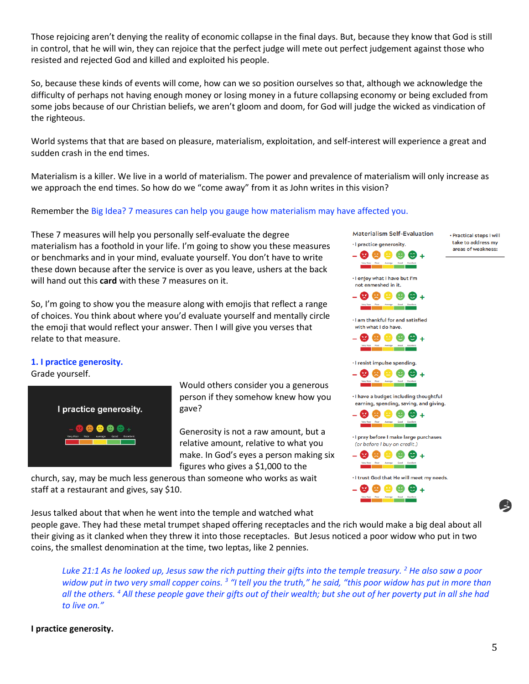Those rejoicing aren't denying the reality of economic collapse in the final days. But, because they know that God is still in control, that he will win, they can rejoice that the perfect judge will mete out perfect judgement against those who resisted and rejected God and killed and exploited his people.

So, because these kinds of events will come, how can we so position ourselves so that, although we acknowledge the difficulty of perhaps not having enough money or losing money in a future collapsing economy or being excluded from some jobs because of our Christian beliefs, we aren't gloom and doom, for God will judge the wicked as vindication of the righteous.

World systems that that are based on pleasure, materialism, exploitation, and self-interest will experience a great and sudden crash in the end times.

Materialism is a killer. We live in a world of materialism. The power and prevalence of materialism will only increase as we approach the end times. So how do we "come away" from it as John writes in this vision?

### Remember the Big Idea? 7 measures can help you gauge how materialism may have affected you.

These 7 measures will help you personally self-evaluate the degree materialism has a foothold in your life. I'm going to show you these measures or benchmarks and in your mind, evaluate yourself. You don't have to write these down because after the service is over as you leave, ushers at the back will hand out this **card** with these 7 measures on it.

So, I'm going to show you the measure along with emojis that reflect a range of choices. You think about where you'd evaluate yourself and mentally circle the emoji that would reflect your answer. Then I will give you verses that relate to that measure.

#### **1. I practice generosity.**

Grade yourself.



Would others consider you a generous person if they somehow knew how you gave?

Generosity is not a raw amount, but a relative amount, relative to what you make. In God's eyes a person making six figures who gives a \$1,000 to the

church, say, may be much less generous than someone who works as wait staff at a restaurant and gives, say \$10.

Jesus talked about that when he went into the temple and watched what

people gave. They had these metal trumpet shaped offering receptacles and the rich would make a big deal about all their giving as it clanked when they threw it into those receptacles. But Jesus noticed a poor widow who put in two coins, the smallest denomination at the time, two leptas, like 2 pennies.

*Luke 21:1 As he looked up, Jesus saw the rich putting their gifts into the temple treasury. <sup>2</sup> He also saw a poor*  widow put in two very small copper coins. <sup>3</sup> "I tell you the truth," he said, "this poor widow has put in more than *all the others. <sup>4</sup> All these people gave their gifts out of their wealth; but she out of her poverty put in all she had to live on."* 

### **I practice generosity.**



**Materialism Self-Evaluation** 

· I practice generosity.

· Practical steps I will take to address my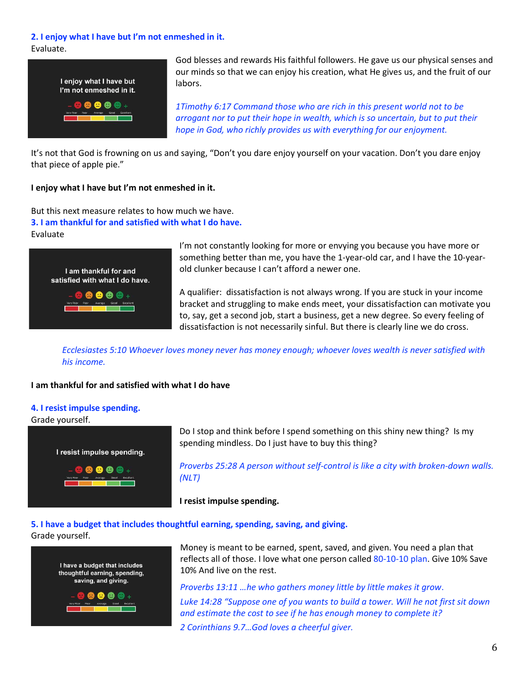### **2. I enjoy what I have but I'm not enmeshed in it.**

Evaluate.



God blesses and rewards His faithful followers. He gave us our physical senses and our minds so that we can enjoy his creation, what He gives us, and the fruit of our labors.

*1Timothy 6:17 Command those who are rich in this present world not to be arrogant nor to put their hope in wealth, which is so uncertain, but to put their hope in God, who richly provides us with everything for our enjoyment.*

It's not that God is frowning on us and saying, "Don't you dare enjoy yourself on your vacation. Don't you dare enjoy that piece of apple pie."

## **I enjoy what I have but I'm not enmeshed in it.**

But this next measure relates to how much we have. **3. I am thankful for and satisfied with what I do have.** Evaluate



I'm not constantly looking for more or envying you because you have more or something better than me, you have the 1-year-old car, and I have the 10-yearold clunker because I can't afford a newer one.

A qualifier: dissatisfaction is not always wrong. If you are stuck in your income bracket and struggling to make ends meet, your dissatisfaction can motivate you to, say, get a second job, start a business, get a new degree. So every feeling of dissatisfaction is not necessarily sinful. But there is clearly line we do cross.

*Ecclesiastes 5:10 Whoever loves money never has money enough; whoever loves wealth is never satisfied with his income.*

# **I am thankful for and satisfied with what I do have**

### **4. I resist impulse spending.**

Grade yourself.



Do I stop and think before I spend something on this shiny new thing? Is my spending mindless. Do I just have to buy this thing?

*Proverbs 25:28 A person without self-control is like a city with broken-down walls. (NLT)*

**I resist impulse spending.** 

### **5. I have a budget that includes thoughtful earning, spending, saving, and giving.** Grade yourself.



Money is meant to be earned, spent, saved, and given. You need a plan that reflects all of those. I love what one person called 80-10-10 plan. Give 10% Save 10% And live on the rest.

*Proverbs 13:11 …he who gathers money little by little makes it grow*. *Luke 14:28 "Suppose one of you wants to build a tower. Will he not first sit down and estimate the cost to see if he has enough money to complete it?*

*2 Corinthians 9.7…God loves a cheerful giver.*